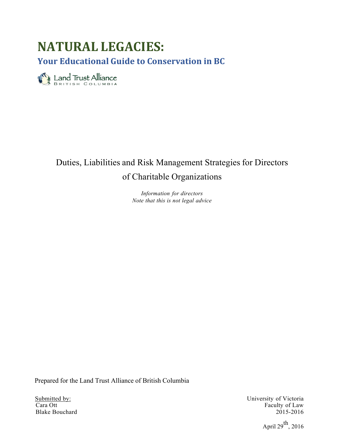# **NATURAL LEGACIES:**

**Your Educational Guide to Conservation in BC**

Eand Trust Alliance

# Duties, Liabilities and Risk Management Strategies for Directors of Charitable Organizations

*Information for directors Note that this is not legal advice*

Prepared for the Land Trust Alliance of British Columbia

Blake Bouchard

Submitted by:<br>
Cara Ott Faculty of Victoria<br>
Cara Ott Faculty of Law Faculty of Law<br>2015-2016

April  $29^{th}$ , 2016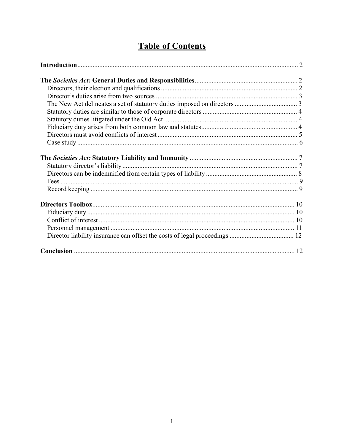# **Table of Contents**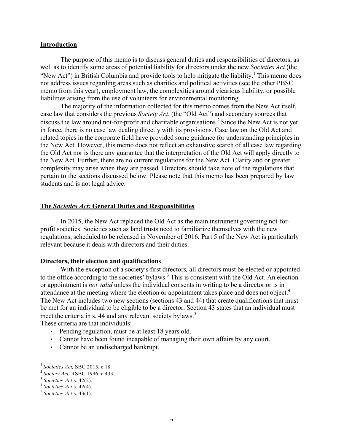#### **Introduction**

The purpose of this memo is to discuss general duties and responsibilities of directors, as well as to identify some areas of potential liability for directors under the new *Societies Act* (the "New Act") in British Columbia and provide tools to help mitigate the liability.<sup>1</sup> This memo does not address issues regarding areas such as charities and political activities (see the other PBSC memo from this year), employment law, the complexities around vicarious liability, or possible liabilities arising from the use of volunteers for environmental monitoring.

The majority of the information collected for this memo comes from the New Act itself, case law that considers the previous *Society Act*, (the "Old Act") and secondary sources that discuss the law around not-for-profit and charitable organisations.<sup>2</sup> Since the New Act is not yet in force, there is no case law dealing directly with its provisions. Case law on the Old Act and related topics in the corporate field have provided some guidance for understanding principles in the New Act. However, this memo does not reflect an exhaustive search of all case law regarding the Old Act nor is there any guarantee that the interpretation of the Old Act will apply directly to the New Act. Further, there are no current regulations for the New Act. Clarity and or greater complexity may arise when they are passed. Directors should take note of the regulations that pertain to the sections discussed below. Please note that this memo has been prepared by law students and is not legal advice.

# **The** *Societies Act:* **General Duties and Responsibilities**

In 2015, the New Act replaced the Old Act as the main instrument governing not-forprofit societies. Societies such as land trusts need to familiarize themselves with the new regulations, scheduled to be released in November of 2016. Part 5 of the New Act is particularly relevant because it deals with directors and their duties.

# **Directors, their election and qualifications**

With the exception of a society's first directors*,* all directors must be elected or appointed to the office according to the societies' bylaws. <sup>3</sup> This is consistent with the Old Act*.* An election or appointment is *not valid* unless the individual consents in writing to be a director or is in attendance at the meeting where the election or appointment takes place and does not object.<sup>4</sup> The New Act includes two new sections (sections 43 and 44) that create qualifications that must be met for an individual to be eligible to be a director. Section 43 states that an individual must meet the criteria in s. 44 and any relevant society bylaws.<sup>5</sup> These criteria are that individuals:

- Pending regulation, must be at least 18 years old.
- Cannot have been found incapable of managing their own affairs by any court.
- Cannot be an undischarged bankrupt.

<sup>1</sup> *Societies Act,* SBC 2015, c 18.

<sup>&</sup>lt;sup>2</sup> *Society Act*, RSBC 1996, c 433.<br><sup>3</sup> *Societies Act* s. 42(2).

<sup>3</sup> *Societies Act* s. 42(2). <sup>4</sup> *Societies Act* s. 42(4). <sup>5</sup> *Societies Act* s. 43(1).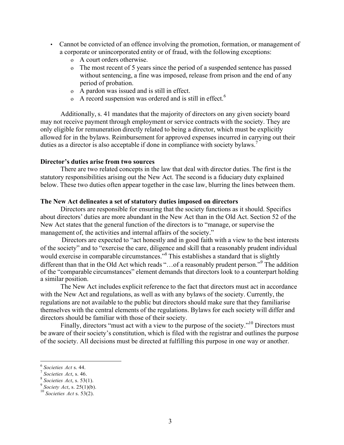- Cannot be convicted of an offence involving the promotion, formation, or management of a corporate or unincorporated entity or of fraud, with the following exceptions:
	- o A court orders otherwise.
	- o The most recent of 5 years since the period of a suspended sentence has passed without sentencing, a fine was imposed, release from prison and the end of any period of probation.
	- o A pardon was issued and is still in effect.
	- o A record suspension was ordered and is still in effect.<sup>6</sup>

Additionally, s. 41 mandates that the majority of directors on any given society board may not receive payment through employment or service contracts with the society. They are only eligible for remuneration directly related to being a director, which must be explicitly allowed for in the bylaws. Reimbursement for approved expenses incurred in carrying out their duties as a director is also acceptable if done in compliance with society bylaws.<sup>7</sup>

# **Director's duties arise from two sources**

There are two related concepts in the law that deal with director duties. The first is the statutory responsibilities arising out the New Act. The second is a fiduciary duty explained below. These two duties often appear together in the case law, blurring the lines between them.

# **The New Act delineates a set of statutory duties imposed on directors**

Directors are responsible for ensuring that the society functions as it should. Specifics about directors' duties are more abundant in the New Act than in the Old Act. Section 52 of the New Act states that the general function of the directors is to "manage, or supervise the management of, the activities and internal affairs of the society."

Directors are expected to "act honestly and in good faith with a view to the best interests of the society" and to "exercise the care, diligence and skill that a reasonably prudent individual would exercise in comparable circumstances."<sup>8</sup> This establishes a standard that is slightly different than that in the Old Act which reads "...of a reasonably prudent person."<sup>9</sup> The addition of the "comparable circumstances" element demands that directors look to a counterpart holding a similar position.

The New Act includes explicit reference to the fact that directors must act in accordance with the New Act and regulations, as well as with any bylaws of the society. Currently, the regulations are not available to the public but directors should make sure that they familiarise themselves with the central elements of the regulations. Bylaws for each society will differ and directors should be familiar with those of their society.

Finally, directors "must act with a view to the purpose of the society."<sup>10</sup> Directors must be aware of their society's constitution, which is filed with the registrar and outlines the purpose of the society. All decisions must be directed at fulfilling this purpose in one way or another.

<sup>6</sup> *Societies Act* s. 44. <sup>7</sup> *Societies Act*, s. 46. <sup>8</sup> *Societies Act*, s. 53(1). <sup>9</sup> *Society Act*, s. 25(1)(b). <sup>10</sup> *Societies Act* s. 53(2).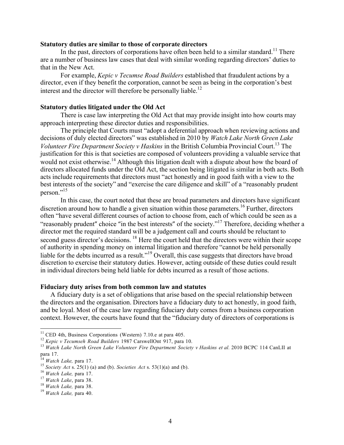### **Statutory duties are similar to those of corporate directors**

In the past, directors of corporations have often been held to a similar standard.<sup>11</sup> There are a number of business law cases that deal with similar wording regarding directors' duties to that in the New Act.

For example, *Kepic v Tecumse Road Builders* established that fraudulent actions by a director, even if they benefit the corporation, cannot be seen as being in the corporation's best interest and the director will therefore be personally liable.<sup>12</sup>

# **Statutory duties litigated under the Old Act**

There is case law interpreting the Old Act that may provide insight into how courts may approach interpreting these director duties and responsibilities.

The principle that Courts must "adopt a deferential approach when reviewing actions and decisions of duly elected directors" was established in 2010 by *Watch Lake North Green Lake Volunteer Fire Department Society v Haskins* in the British Columbia Provincial Court. <sup>13</sup> The justification for this is that societies are composed of volunteers providing a valuable service that would not exist otherwise.<sup>14</sup> Although this litigation dealt with a dispute about how the board of directors allocated funds under the Old Act, the section being litigated is similar in both acts. Both acts include requirements that directors must "act honestly and in good faith with a view to the best interests of the society" and "exercise the care diligence and skill" of a "reasonably prudent person."<sup>15</sup>

In this case, the court noted that these are broad parameters and directors have significant discretion around how to handle a given situation within those parameters.<sup>16</sup> Further, directors often "have several different courses of action to choose from, each of which could be seen as a "reasonably prudent" choice "in the best interests" of the society."<sup>17</sup> Therefore, deciding whether a director met the required standard will be a judgement call and courts should be reluctant to second guess director's decisions. <sup>18</sup> Here the court held that the directors were within their scope of authority in spending money on internal litigation and therefore "cannot be held personally liable for the debts incurred as a result."<sup>19</sup> Overall, this case suggests that directors have broad discretion to exercise their statutory duties. However, acting outside of these duties could result in individual directors being held liable for debts incurred as a result of those actions.

# **Fiduciary duty arises from both common law and statutes**

A fiduciary duty is a set of obligations that arise based on the special relationship between the directors and the organisation. Directors have a fiduciary duty to act honestly, in good faith, and be loyal. Most of the case law regarding fiduciary duty comes from a business corporation context. However, the courts have found that the "fiduciary duty of directors of corporations is

<sup>&</sup>lt;sup>11</sup> CED 4th, Business Corporations (Western) 7.10.e at para 405.<br><sup>12</sup> Kepic v Tecumseh Road Builders 1987 CarswellOnt 917, para 10.

 $13$  Watch Lake North Green Lake Volunteer Fire Department Society v Haskins et al. 2010 BCPC 114 CanLII at para 17.<br><sup>14</sup> Watch Lake, para 17.

<sup>&</sup>lt;sup>15</sup> Society Act s. 25(1) (a) and (b). Societies Act s. 53(1)(a) and (b).<br><sup>16</sup> Watch Lake, para 17.<br><sup>17</sup> Watch Lake, para 38.<br><sup>18</sup> Watch Lake, para 38.<br><sup>19</sup> Watch Lake, para 40.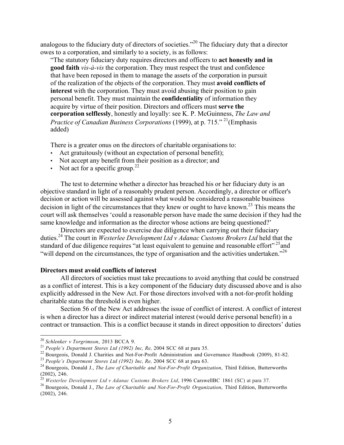analogous to the fiduciary duty of directors of societies."<sup>20</sup> The fiduciary duty that a director owes to a corporation, and similarly to a society, is as follows:

"The statutory fiduciary duty requires directors and officers to **act honestly and in good faith** *vis-à-vis* the corporation. They must respect the trust and confidence that have been reposed in them to manage the assets of the corporation in pursuit of the realization of the objects of the corporation. They must **avoid conflicts of interest** with the corporation. They must avoid abusing their position to gain personal benefit. They must maintain the **confidentiality** of information they acquire by virtue of their position. Directors and officers must **serve the corporation selflessly**, honestly and loyally: see K. P. McGuinness, *The Law and Practice of Canadian Business Corporations* (1999), at p. 715." <sup>21</sup> (Emphasis added)

There is a greater onus on the directors of charitable organisations to:

- Act gratuitously (without an expectation of personal benefit);
- Not accept any benefit from their position as a director; and
- Not act for a specific group.<sup>22</sup>

The test to determine whether a director has breached his or her fiduciary duty is an objective standard in light of a reasonably prudent person. Accordingly, a director or officer's decision or action will be assessed against what would be considered a reasonable business decision in light of the circumstances that they knew or ought to have known.<sup>23</sup> This means the court will ask themselves 'could a reasonable person have made the same decision if they had the same knowledge and information as the director whose actions are being questioned?'

Directors are expected to exercise due diligence when carrying out their fiduciary duties.<sup>24</sup> The court in *Westerlee Development Ltd v Adanac Customs Brokers Ltd* held that the standard of due diligence requires "at least equivalent to genuine and reasonable effort"<sup>25</sup> and "will depend on the circumstances, the type of organisation and the activities undertaken."<sup>26</sup>

#### **Directors must avoid conflicts of interest**

All directors of societies must take precautions to avoid anything that could be construed as a conflict of interest. This is a key component of the fiduciary duty discussed above and is also explicitly addressed in the New Act. For those directors involved with a not-for-profit holding charitable status the threshold is even higher.

Section 56 of the New Act addresses the issue of conflict of interest. A conflict of interest is when a director has a direct or indirect material interest (would derive personal benefit) in a contract or transaction. This is a conflict because it stands in direct opposition to directors' duties

<sup>&</sup>lt;sup>20</sup> Schlenker v Torgrimson, 2013 BCCA 9.<br>
<sup>21</sup> People's Department Stores Ltd (1992) Inc, Re, 2004 SCC 68 at para 35.<br>
<sup>22</sup> Bourgeois, Donald J. Charities and Not-For-Profit Administration and Governance Handbook (2009),

 $(2002)$ , 246.<br><sup>25</sup> Westerlee Development Ltd v Adanac Customs Brokers Ltd, 1996 CarswellBC 1861 (SC) at para 37.

<sup>&</sup>lt;sup>26</sup> Bourgeois, Donald J., The Law of Charitable and Not-For-Profit Organization, Third Edition, Butterworths (2002), 246.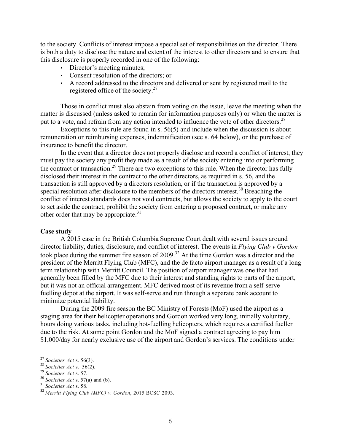to the society. Conflicts of interest impose a special set of responsibilities on the director. There is both a duty to disclose the nature and extent of the interest to other directors and to ensure that this disclosure is properly recorded in one of the following:

- Director's meeting minutes;
- Consent resolution of the directors; or
- A record addressed to the directors and delivered or sent by registered mail to the registered office of the society. $27$

Those in conflict must also abstain from voting on the issue, leave the meeting when the matter is discussed (unless asked to remain for information purposes only) or when the matter is put to a vote, and refrain from any action intended to influence the vote of other directors.<sup>28</sup>

Exceptions to this rule are found in s. 56(5) and include when the discussion is about remuneration or reimbursing expenses, indemnification (see s. 64 below), or the purchase of insurance to benefit the director.

In the event that a director does not properly disclose and record a conflict of interest, they must pay the society any profit they made as a result of the society entering into or performing the contract or transaction.<sup>29</sup> There are two exceptions to this rule. When the director has fully disclosed their interest in the contract to the other directors, as required in s. 56, and the transaction is still approved by a directors resolution, or if the transaction is approved by a special resolution after disclosure to the members of the directors interest.<sup>30</sup> Breaching the conflict of interest standards does not void contracts, but allows the society to apply to the court to set aside the contract, prohibit the society from entering a proposed contract, or make any other order that may be appropriate.<sup>31</sup>

### **Case study**

A 2015 case in the British Columbia Supreme Court dealt with several issues around director liability, duties, disclosure, and conflict of interest. The events in *Flying Club v Gordon*  took place during the summer fire season of 2009.<sup>32</sup> At the time Gordon was a director and the president of the Merritt Flying Club (MFC), and the de facto airport manager as a result of a long term relationship with Merritt Council. The position of airport manager was one that had generally been filled by the MFC due to their interest and standing rights to parts of the airport, but it was not an official arrangement. MFC derived most of its revenue from a self-serve fuelling depot at the airport. It was self-serve and run through a separate bank account to minimize potential liability.

During the 2009 fire season the BC Ministry of Forests (MoF) used the airport as a staging area for their helicopter operations and Gordon worked very long, initially voluntary, hours doing various tasks, including hot-fuelling helicopters, which requires a certified fueller due to the risk. At some point Gordon and the MoF signed a contract agreeing to pay him \$1,000/day for nearly exclusive use of the airport and Gordon's services. The conditions under

<sup>&</sup>lt;sup>27</sup> Societies Act s. 56(3).<br>
<sup>28</sup> Societies Act s. 56(2).<br>
<sup>29</sup> Societies Act s. 57.<br>
<sup>30</sup> Societies Act s. 57(a) and (b).<br>
<sup>31</sup> Societies Act s. 58.<br>
<sup>32</sup> Merritt Flying Club (MFC) v. Gordon, 2015 BCSC 2093.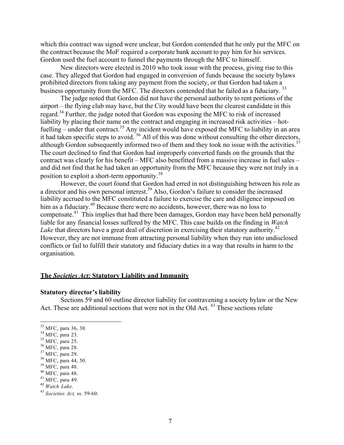which this contract was signed were unclear, but Gordon contended that he only put the MFC on the contract because the MoF required a corporate bank account to pay him for his services. Gordon used the fuel account to funnel the payments through the MFC to himself.

New directors were elected in 2010 who took issue with the process, giving rise to this case. They alleged that Gordon had engaged in conversion of funds because the society bylaws prohibited directors from taking any payment from the society, or that Gordon had taken a business opportunity from the MFC. The directors contended that he failed as a fiduciary.<sup>33</sup>

The judge noted that Gordon did not have the personal authority to rent portions of the airport – the flying club may have, but the City would have been the clearest candidate in this regard.<sup>34</sup> Further, the judge noted that Gordon was exposing the MFC to risk of increased liability by placing their name on the contract and engaging in increased risk activities – hotfuelling – under that contract.<sup>35</sup> Any incident would have exposed the MFC to liability in an area it had taken specific steps to avoid. <sup>36</sup> All of this was done without consulting the other directors, although Gordon subsequently informed two of them and they took no issue with the activities.<sup>37</sup> The court declined to find that Gordon had improperly converted funds on the grounds that the contract was clearly for his benefit – MFC also benefitted from a massive increase in fuel sales – and did not find that he had taken an opportunity from the MFC because they were not truly in a position to exploit a short-term opportunity.<sup>38</sup>

However, the court found that Gordon had erred in not distinguishing between his role as a director and his own personal interest.<sup>39</sup> Also, Gordon's failure to consider the increased liability accrued to the MFC constituted a failure to exercise the care and diligence imposed on him as a fiduciary.<sup>40</sup> Because there were no accidents, however, there was no loss to compensate.<sup>41</sup> This implies that had there been damages, Gordon may have been held personally liable for any financial losses suffered by the MFC. This case builds on the finding in *Watch* Lake that directors have a great deal of discretion in exercising their statutory authority.<sup>42</sup> However, they are not immune from attracting personal liability when they run into undisclosed conflicts or fail to fulfill their statutory and fiduciary duties in a way that results in harm to the organisation.

# **The** *Societies Act:* **Statutory Liability and Immunity**

# **Statutory director's liability**

Sections 59 and 60 outline director liability for contravening a society bylaw or the New Act. These are additional sections that were not in the Old Act.<sup>43</sup> These sections relate

<sup>&</sup>lt;sup>33</sup> MFC, para 36, 38.

<sup>34</sup> MFC, para 23.<br><sup>35</sup> MFC, para 25.<br><sup>37</sup> MFC, para 28.<br><sup>37</sup> MFC, para 29.<br><sup>38</sup> MFC, para 44, 50.<br><sup>39</sup> MFC, para 48.<br><sup>40</sup> MFC, para 48.<br><sup>41</sup> MFC, para 49.<br><sup>42</sup> *Watch Lake*.

<sup>43</sup> *Societies Act,* ss. 59-60.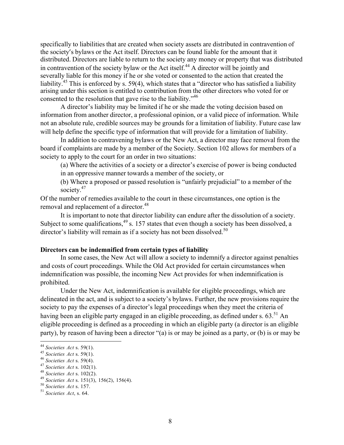specifically to liabilities that are created when society assets are distributed in contravention of the society's bylaws or the Act itself. Directors can be found liable for the amount that it distributed. Directors are liable to return to the society any money or property that was distributed in contravention of the society bylaw or the Act itself.<sup>44</sup> A director will be jointly and severally liable for this money if he or she voted or consented to the action that created the liability.<sup>45</sup> This is enforced by s. 59(4), which states that a "director who has satisfied a liability arising under this section is entitled to contribution from the other directors who voted for or consented to the resolution that gave rise to the liability."<sup>46</sup>

A director's liability may be limited if he or she made the voting decision based on information from another director, a professional opinion, or a valid piece of information. While not an absolute rule, credible sources may be grounds for a limitation of liability. Future case law will help define the specific type of information that will provide for a limitation of liability.

In addition to contravening bylaws or the New Act, a director may face removal from the board if complaints are made by a member of the Society. Section 102 allows for members of a society to apply to the court for an order in two situations:

(a) Where the activities of a society or a director's exercise of power is being conducted in an oppressive manner towards a member of the society, or

(b) Where a proposed or passed resolution is "unfairly prejudicial" to a member of the society.<sup>47</sup>

Of the number of remedies available to the court in these circumstances, one option is the removal and replacement of a director.<sup>48</sup>

It is important to note that director liability can endure after the dissolution of a society. Subject to some qualifications,  $49$  s. 157 states that even though a society has been dissolved, a director's liability will remain as if a society has not been dissolved.<sup>50</sup>

# **Directors can be indemnified from certain types of liability**

In some cases, the New Act will allow a society to indemnify a director against penalties and costs of court proceedings. While the Old Act provided for certain circumstances when indemnification was possible, the incoming New Act provides for when indemnification is prohibited.

Under the New Act, indemnification is available for eligible proceedings, which are delineated in the act, and is subject to a society's bylaws. Further, the new provisions require the society to pay the expenses of a director's legal proceedings when they meet the criteria of having been an eligible party engaged in an eligible proceeding, as defined under s. 63.<sup>51</sup> An eligible proceeding is defined as a proceeding in which an eligible party (a director is an eligible party), by reason of having been a director "(a) is or may be joined as a party, or (b) is or may be

<sup>&</sup>lt;sup>44</sup> Societies Act s. 59(1).<br>
<sup>45</sup> Societies Act s. 59(1).<br>
<sup>46</sup> Societies Act s. 59(4).<br>
<sup>47</sup> Societies Act s. 102(1).<br>
<sup>48</sup> Societies Act s. 102(2).<br>
<sup>49</sup> Societies Act s. 151(3), 156(2), 156(4).<br>
<sup>50</sup> Societies Act s.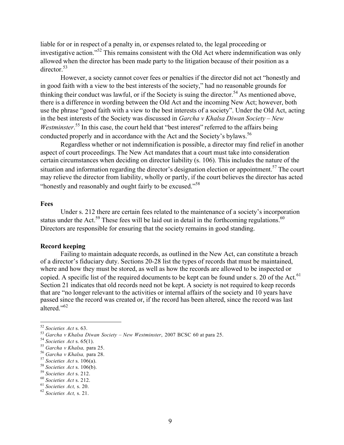liable for or in respect of a penalty in, or expenses related to, the legal proceeding or investigative action."<sup>52</sup> This remains consistent with the Old Act where indemnification was only allowed when the director has been made party to the litigation because of their position as a director  $53$ 

However, a society cannot cover fees or penalties if the director did not act "honestly and in good faith with a view to the best interests of the society," had no reasonable grounds for thinking their conduct was lawful, or if the Society is suing the director.<sup>54</sup> As mentioned above, there is a difference in wording between the Old Act and the incoming New Act; however, both use the phrase "good faith with a view to the best interests of a society". Under the Old Act, acting in the best interests of the Society was discussed in *Garcha v Khalsa Diwan Society – New*  Westminster.<sup>55</sup> In this case, the court held that "best interest" referred to the affairs being conducted properly and in accordance with the Act and the Society's bylaws.<sup>56</sup>

Regardless whether or not indemnification is possible, a director may find relief in another aspect of court proceedings. The New Act mandates that a court must take into consideration certain circumstances when deciding on director liability (s. 106). This includes the nature of the situation and information regarding the director's designation election or appointment.<sup>57</sup> The court may relieve the director from liability, wholly or partly, if the court believes the director has acted "honestly and reasonably and ought fairly to be excused."<sup>58</sup>

# **Fees**

Under s. 212 there are certain fees related to the maintenance of a society's incorporation status under the Act.<sup>59</sup> These fees will be laid out in detail in the forthcoming regulations.<sup>60</sup> Directors are responsible for ensuring that the society remains in good standing.

### **Record keeping**

Failing to maintain adequate records, as outlined in the New Act, can constitute a breach of a director's fiduciary duty. Sections 20-28 list the types of records that must be maintained, where and how they must be stored, as well as how the records are allowed to be inspected or copied. A specific list of the required documents to be kept can be found under s. 20 of the Act.<sup>61</sup> Section 21 indicates that old records need not be kept. A society is not required to keep records that are "no longer relevant to the activities or internal affairs of the society and 10 years have passed since the record was created or, if the record has been altered, since the record was last altered." 62

<sup>&</sup>lt;sup>52</sup> Societies Act s. 63.<br>
<sup>53</sup> Garcha v Khalsa Diwan Society – New Westminster, 2007 BCSC 60 at para 25.<br>
<sup>54</sup> Societies Act s. 65(1).<br>
<sup>55</sup> Garcha v Khalsa, para 25.<br>
<sup>55</sup> Garcha v Khalsa, para 28.<br>
<sup>57</sup> Societies Act s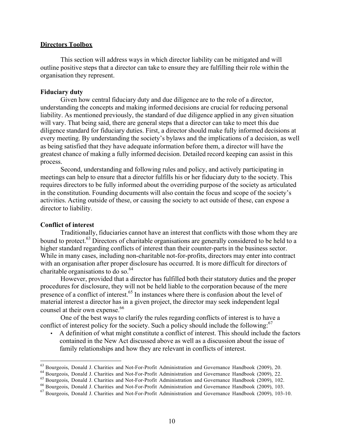#### **Directors Toolbox**

This section will address ways in which director liability can be mitigated and will outline positive steps that a director can take to ensure they are fulfilling their role within the organisation they represent.

# **Fiduciary duty**

Given how central fiduciary duty and due diligence are to the role of a director, understanding the concepts and making informed decisions are crucial for reducing personal liability. As mentioned previously, the standard of due diligence applied in any given situation will vary. That being said, there are general steps that a director can take to meet this due diligence standard for fiduciary duties. First, a director should make fully informed decisions at every meeting. By understanding the society's bylaws and the implications of a decision, as well as being satisfied that they have adequate information before them, a director will have the greatest chance of making a fully informed decision. Detailed record keeping can assist in this process.

Second, understanding and following rules and policy, and actively participating in meetings can help to ensure that a director fulfills his or her fiduciary duty to the society. This requires directors to be fully informed about the overriding purpose of the society as articulated in the constitution. Founding documents will also contain the focus and scope of the society's activities. Acting outside of these, or causing the society to act outside of these, can expose a director to liability.

# **Conflict of interest**

Traditionally, fiduciaries cannot have an interest that conflicts with those whom they are bound to protect.<sup>63</sup> Directors of charitable organisations are generally considered to be held to a higher standard regarding conflicts of interest than their counter-parts in the business sector. While in many cases, including non-charitable not-for-profits, directors may enter into contract with an organisation after proper disclosure has occurred. It is more difficult for directors of charitable organisations to do so. 64

However, provided that a director has fulfilled both their statutory duties and the proper procedures for disclosure, they will not be held liable to the corporation because of the mere presence of a conflict of interest.<sup>65</sup> In instances where there is confusion about the level of material interest a director has in a given project, the director may seek independent legal counsel at their own expense.<sup>66</sup>

One of the best ways to clarify the rules regarding conflicts of interest is to have a conflict of interest policy for the society. Such a policy should include the following.<sup>67</sup>

• A definition of what might constitute a conflict of interest. This should include the factors contained in the New Act discussed above as well as a discussion about the issue of family relationships and how they are relevant in conflicts of interest.

<sup>&</sup>lt;sup>63</sup> Bourgeois, Donald J. Charities and Not-For-Profit Administration and Governance Handbook (2009), 20.<br><sup>64</sup> Bourgeois, Donald J. Charities and Not-For-Profit Administration and Governance Handbook (2009), 22.<br><sup>65</sup> Bour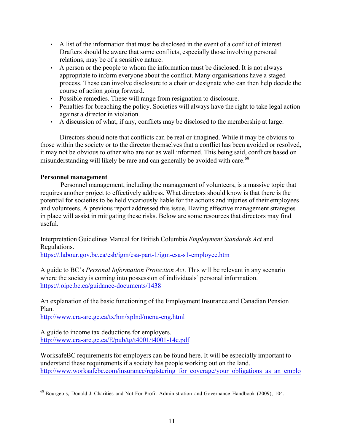- A list of the information that must be disclosed in the event of a conflict of interest. Drafters should be aware that some conflicts, especially those involving personal relations, may be of a sensitive nature.
- A person or the people to whom the information must be disclosed. It is not always appropriate to inform everyone about the conflict. Many organisations have a staged process. These can involve disclosure to a chair or designate who can then help decide the course of action going forward.
- Possible remedies. These will range from resignation to disclosure.
- Penalties for breaching the policy. Societies will always have the right to take legal action against a director in violation.
- A discussion of what, if any, conflicts may be disclosed to the membership at large.

Directors should note that conflicts can be real or imagined. While it may be obvious to those within the society or to the director themselves that a conflict has been avoided or resolved, it may not be obvious to other who are not as well informed. This being said, conflicts based on misunderstanding will likely be rare and can generally be avoided with care.<sup>68</sup>

# **Personnel management**

Personnel management, including the management of volunteers, is a massive topic that requires another project to effectively address. What directors should know is that there is the potential for societies to be held vicariously liable for the actions and injuries of their employees and volunteers. A previous report addressed this issue. Having effective management strategies in place will assist in mitigating these risks. Below are some resources that directors may find useful.

Interpretation Guidelines Manual for British Columbia *Employment Standards Act* and Regulations.

https://.labour.gov.bc.ca/esb/igm/esa-part-1/igm-esa-s1-employee.htm

A guide to BC's *Personal Information Protection Act*. This will be relevant in any scenario where the society is coming into possession of individuals' personal information. https://.oipc.bc.ca/guidance-documents/1438

An explanation of the basic functioning of the Employment Insurance and Canadian Pension Plan.

http://www.cra-arc.gc.ca/tx/hm/xplnd/menu-eng.html

A guide to income tax deductions for employers. http://www.cra-arc.gc.ca/E/pub/tg/t4001/t4001-14e.pdf

WorksafeBC requirements for employers can be found here. It will be especially important to understand these requirements if a society has people working out on the land. http://www.worksafebc.com/insurance/registering for coverage/your\_obligations\_as\_an\_emplo

<sup>68</sup> Bourgeois, Donald J. Charities and Not-For-Profit Administration and Governance Handbook (2009), 104.